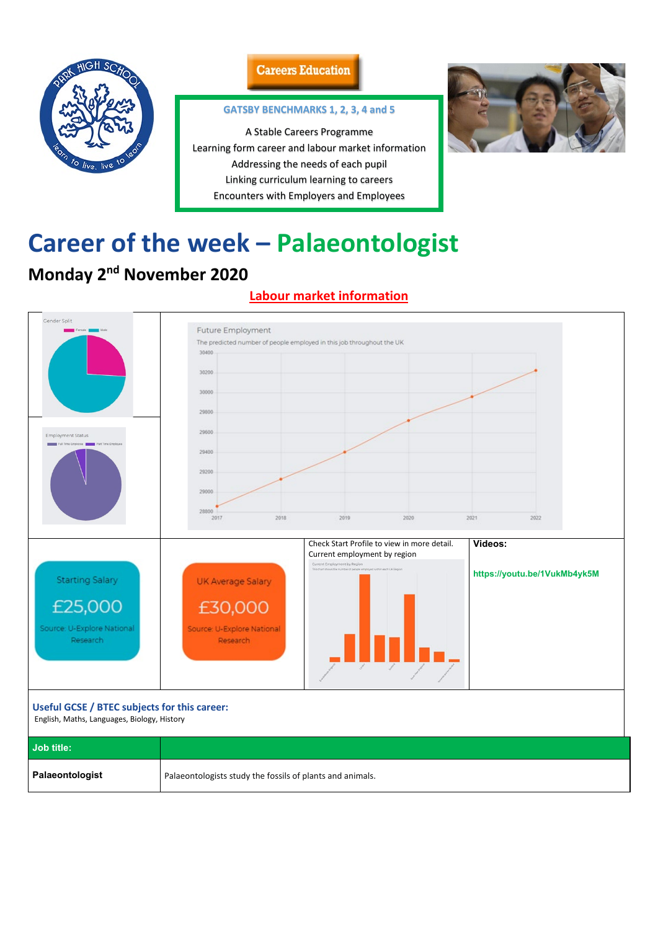

### **Careers Education**

# **Career of the week – Palaeontologist**

# **Monday 2nd November 2020**

## **Labour market information**



#### **Useful GCSE / BTEC subjects for this career:**

English, Maths, Languages, Biology, History

| <b>Job title:</b> |                                                           |
|-------------------|-----------------------------------------------------------|
| Palaeontologist   | Palaeontologists study the fossils of plants and animals. |

### **GATSBY BENCHMARKS 1, 2, 3, 4 and 5**

A Stable Careers Programme Learning form career and labour market information Addressing the needs of each pupil Linking curriculum learning to careers Encounters with Employers and Employees